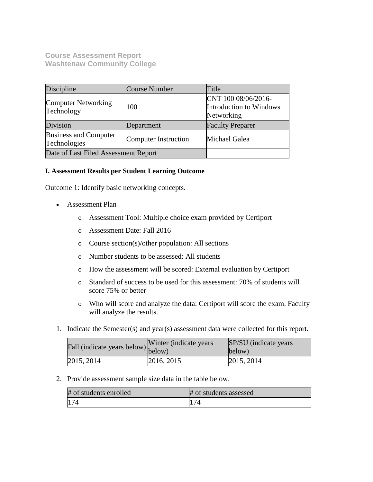**Course Assessment Report Washtenaw Community College**

| Discipline                            | Course Number        | Title                                                        |
|---------------------------------------|----------------------|--------------------------------------------------------------|
| Computer Networking<br>Technology     | 100                  | CNT 100 08/06/2016-<br>Introduction to Windows<br>Networking |
| Division                              | Department           | <b>Faculty Preparer</b>                                      |
| Business and Computer<br>Technologies | Computer Instruction | Michael Galea                                                |
| Date of Last Filed Assessment Report  |                      |                                                              |

## **I. Assessment Results per Student Learning Outcome**

Outcome 1: Identify basic networking concepts.

- Assessment Plan
	- o Assessment Tool: Multiple choice exam provided by Certiport
	- o Assessment Date: Fall 2016
	- o Course section(s)/other population: All sections
	- o Number students to be assessed: All students
	- o How the assessment will be scored: External evaluation by Certiport
	- o Standard of success to be used for this assessment: 70% of students will score 75% or better
	- o Who will score and analyze the data: Certiport will score the exam. Faculty will analyze the results.
- 1. Indicate the Semester(s) and year(s) assessment data were collected for this report.

| Fall (indicate years below) below) | Winter (indicate years) | SP/SU (indicate years)<br>below) |
|------------------------------------|-------------------------|----------------------------------|
| 2015, 2014                         | 2016, 2015              | 2015, 2014                       |

2. Provide assessment sample size data in the table below.

| # of students enrolled | # of students assessed |
|------------------------|------------------------|
| 174                    |                        |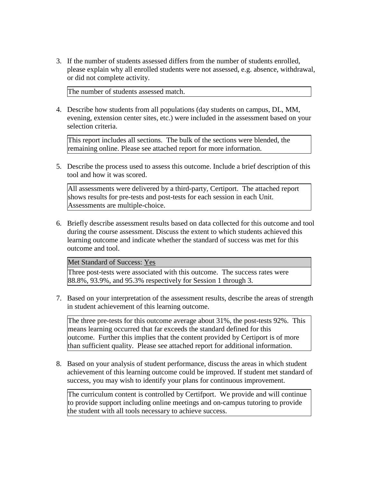3. If the number of students assessed differs from the number of students enrolled, please explain why all enrolled students were not assessed, e.g. absence, withdrawal, or did not complete activity.

The number of students assessed match.

4. Describe how students from all populations (day students on campus, DL, MM, evening, extension center sites, etc.) were included in the assessment based on your selection criteria.

This report includes all sections. The bulk of the sections were blended, the remaining online. Please see attached report for more information.

5. Describe the process used to assess this outcome. Include a brief description of this tool and how it was scored.

All assessments were delivered by a third-party, Certiport. The attached report shows results for pre-tests and post-tests for each session in each Unit. Assessments are multiple-choice.

6. Briefly describe assessment results based on data collected for this outcome and tool during the course assessment. Discuss the extent to which students achieved this learning outcome and indicate whether the standard of success was met for this outcome and tool.

Met Standard of Success: Yes

Three post-tests were associated with this outcome. The success rates were 88.8%, 93.9%, and 95.3% respectively for Session 1 through 3.

7. Based on your interpretation of the assessment results, describe the areas of strength in student achievement of this learning outcome.

The three pre-tests for this outcome average about 31%, the post-tests 92%. This means learning occurred that far exceeds the standard defined for this outcome. Further this implies that the content provided by Certiport is of more than sufficient quality. Please see attached report for additional information.

8. Based on your analysis of student performance, discuss the areas in which student achievement of this learning outcome could be improved. If student met standard of success, you may wish to identify your plans for continuous improvement.

The curriculum content is controlled by Certifport. We provide and will continue to provide support including online meetings and on-campus tutoring to provide the student with all tools necessary to achieve success.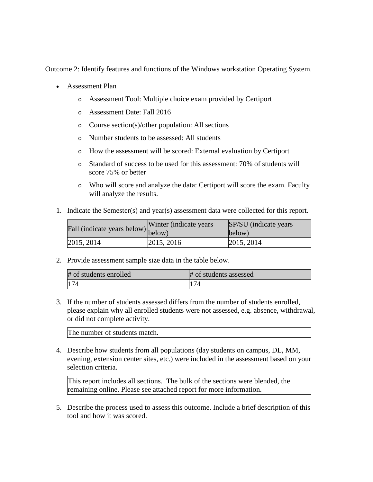Outcome 2: Identify features and functions of the Windows workstation Operating System.

- Assessment Plan
	- o Assessment Tool: Multiple choice exam provided by Certiport
	- o Assessment Date: Fall 2016
	- o Course section(s)/other population: All sections
	- o Number students to be assessed: All students
	- o How the assessment will be scored: External evaluation by Certiport
	- o Standard of success to be used for this assessment: 70% of students will score 75% or better
	- o Who will score and analyze the data: Certiport will score the exam. Faculty will analyze the results.
- 1. Indicate the Semester(s) and year(s) assessment data were collected for this report.

| $\angle$ all (indicate years below) below) | Winter (indicate years) | SP/SU (indicate years)<br>below) |
|--------------------------------------------|-------------------------|----------------------------------|
| 2015, 2014                                 | 2015, 2016              | 2015, 2014                       |

2. Provide assessment sample size data in the table below.

| # of students enrolled | # of students assessed |
|------------------------|------------------------|
| 174                    | 174                    |

3. If the number of students assessed differs from the number of students enrolled, please explain why all enrolled students were not assessed, e.g. absence, withdrawal, or did not complete activity.

The number of students match.

4. Describe how students from all populations (day students on campus, DL, MM, evening, extension center sites, etc.) were included in the assessment based on your selection criteria.

This report includes all sections. The bulk of the sections were blended, the remaining online. Please see attached report for more information.

5. Describe the process used to assess this outcome. Include a brief description of this tool and how it was scored.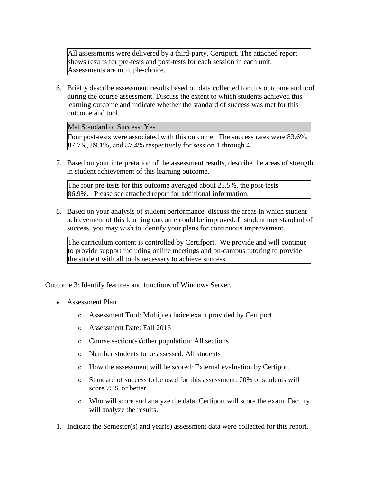All assessments were delivered by a third-party, Certiport. The attached report shows results for pre-tests and post-tests for each session in each unit. Assessments are multiple-choice.

6. Briefly describe assessment results based on data collected for this outcome and tool during the course assessment. Discuss the extent to which students achieved this learning outcome and indicate whether the standard of success was met for this outcome and tool.

Met Standard of Success: Yes

Four post-tests were associated with this outcome. The success rates were 83.6%,  $87.7\%$ , 89.1%, and 87.4% respectively for session 1 through 4.

7. Based on your interpretation of the assessment results, describe the areas of strength in student achievement of this learning outcome.

The four pre-tests for this outcome averaged about 25.5%, the post-tests 86.9%. Please see attached report for additional information.

8. Based on your analysis of student performance, discuss the areas in which student achievement of this learning outcome could be improved. If student met standard of success, you may wish to identify your plans for continuous improvement.

The curriculum content is controlled by Certifport. We provide and will continue to provide support including online meetings and on-campus tutoring to provide the student with all tools necessary to achieve success.

Outcome 3: Identify features and functions of Windows Server.

- Assessment Plan
	- o Assessment Tool: Multiple choice exam provided by Certiport
	- o Assessment Date: Fall 2016
	- o Course section(s)/other population: All sections
	- o Number students to be assessed: All students
	- o How the assessment will be scored: External evaluation by Certiport
	- o Standard of success to be used for this assessment: 70% of students will score 75% or better
	- o Who will score and analyze the data: Certiport will score the exam. Faculty will analyze the results.
- 1. Indicate the Semester(s) and year(s) assessment data were collected for this report.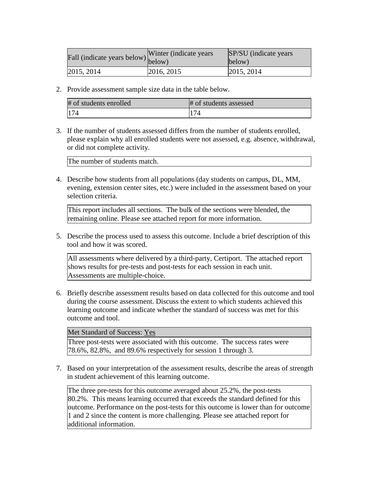| rall (indicate years below) below) | Winter (indicate years) | SP/SU (indicate years)<br>below) |
|------------------------------------|-------------------------|----------------------------------|
| [2015, 2014]                       | 2016, 2015              | 2015, 2014                       |

2. Provide assessment sample size data in the table below.

| # of students enrolled | # of students assessed |
|------------------------|------------------------|
| 174                    | 174                    |

3. If the number of students assessed differs from the number of students enrolled, please explain why all enrolled students were not assessed, e.g. absence, withdrawal, or did not complete activity.

The number of students match.

4. Describe how students from all populations (day students on campus, DL, MM, evening, extension center sites, etc.) were included in the assessment based on your selection criteria.

This report includes all sections. The bulk of the sections were blended, the remaining online. Please see attached report for more information.

5. Describe the process used to assess this outcome. Include a brief description of this tool and how it was scored.

All assessments where delivered by a third-party, Certiport. The attached report shows results for pre-tests and post-tests for each session in each unit. Assessments are multiple-choice.

6. Briefly describe assessment results based on data collected for this outcome and tool during the course assessment. Discuss the extent to which students achieved this learning outcome and indicate whether the standard of success was met for this outcome and tool.

Met Standard of Success: Yes

Three post-tests were associated with this outcome. The success rates were 78.6%, 82.8%, and 89.6% respectively for session 1 through 3.

7. Based on your interpretation of the assessment results, describe the areas of strength in student achievement of this learning outcome.

The three pre-tests for this outcome averaged about 25.2%, the post-tests 80.2%. This means learning occurred that exceeds the standard defined for this outcome. Performance on the post-tests for this outcome is lower than for outcome 1 and 2 since the content is more challenging. Please see attached report for additional information.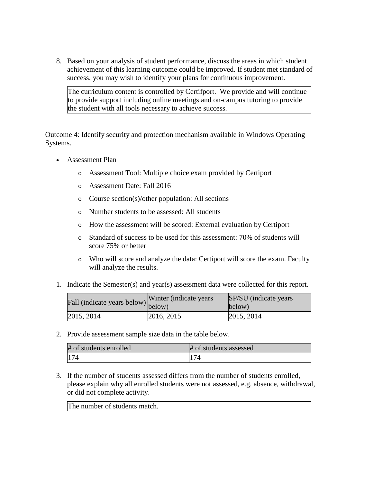8. Based on your analysis of student performance, discuss the areas in which student achievement of this learning outcome could be improved. If student met standard of success, you may wish to identify your plans for continuous improvement.

The curriculum content is controlled by Certifport. We provide and will continue to provide support including online meetings and on-campus tutoring to provide the student with all tools necessary to achieve success.

Outcome 4: Identify security and protection mechanism available in Windows Operating Systems.

- Assessment Plan
	- o Assessment Tool: Multiple choice exam provided by Certiport
	- o Assessment Date: Fall 2016
	- o Course section(s)/other population: All sections
	- o Number students to be assessed: All students
	- o How the assessment will be scored: External evaluation by Certiport
	- o Standard of success to be used for this assessment: 70% of students will score 75% or better
	- o Who will score and analyze the data: Certiport will score the exam. Faculty will analyze the results.
- 1. Indicate the Semester(s) and year(s) assessment data were collected for this report.

| riall (indicate years below) below) | Winter (indicate years) | SP/SU (indicate years)<br>below) |
|-------------------------------------|-------------------------|----------------------------------|
| [2015, 2014]                        | 2016, 2015              | 2015, 2014                       |

2. Provide assessment sample size data in the table below.

| # of students enrolled | # of students assessed |
|------------------------|------------------------|
| 174                    | 174                    |

3. If the number of students assessed differs from the number of students enrolled, please explain why all enrolled students were not assessed, e.g. absence, withdrawal, or did not complete activity.

The number of students match.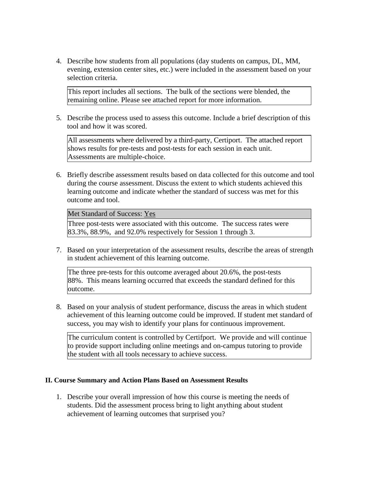4. Describe how students from all populations (day students on campus, DL, MM, evening, extension center sites, etc.) were included in the assessment based on your selection criteria.

This report includes all sections. The bulk of the sections were blended, the remaining online. Please see attached report for more information.

5. Describe the process used to assess this outcome. Include a brief description of this tool and how it was scored.

All assessments where delivered by a third-party, Certiport. The attached report shows results for pre-tests and post-tests for each session in each unit. Assessments are multiple-choice.

6. Briefly describe assessment results based on data collected for this outcome and tool during the course assessment. Discuss the extent to which students achieved this learning outcome and indicate whether the standard of success was met for this outcome and tool.

Met Standard of Success: Yes

Three post-tests were associated with this outcome. The success rates were 83.3%, 88.9%, and 92.0% respectively for Session 1 through 3.

7. Based on your interpretation of the assessment results, describe the areas of strength in student achievement of this learning outcome.

The three pre-tests for this outcome averaged about 20.6%, the post-tests 88%. This means learning occurred that exceeds the standard defined for this outcome.

8. Based on your analysis of student performance, discuss the areas in which student achievement of this learning outcome could be improved. If student met standard of success, you may wish to identify your plans for continuous improvement.

The curriculum content is controlled by Certifport. We provide and will continue to provide support including online meetings and on-campus tutoring to provide the student with all tools necessary to achieve success.

## **II. Course Summary and Action Plans Based on Assessment Results**

1. Describe your overall impression of how this course is meeting the needs of students. Did the assessment process bring to light anything about student achievement of learning outcomes that surprised you?